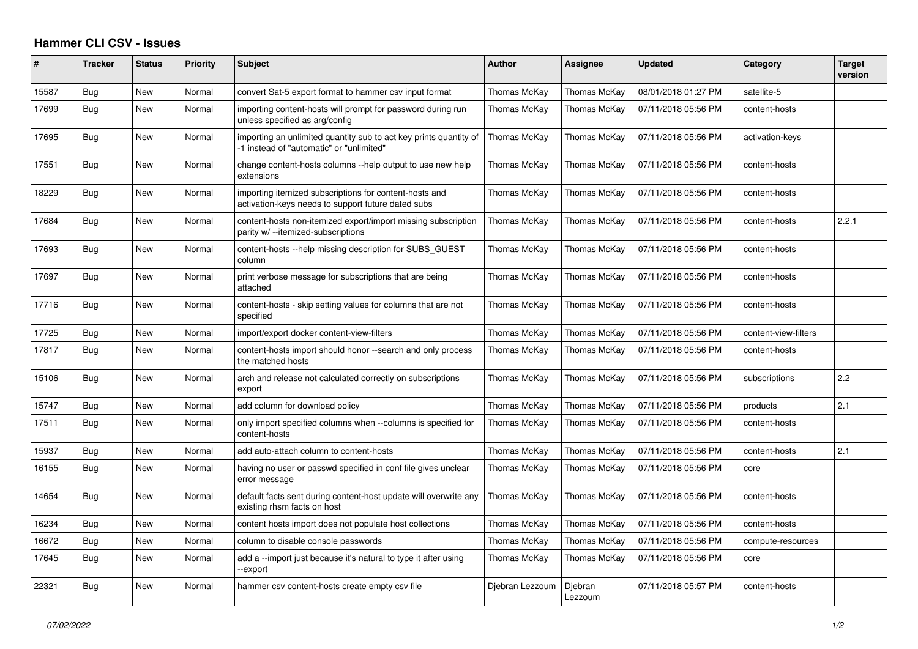## **Hammer CLI CSV - Issues**

| #     | <b>Tracker</b> | <b>Status</b> | <b>Priority</b> | <b>Subject</b>                                                                                                | <b>Author</b>   | <b>Assignee</b>    | <b>Updated</b>      | Category             | <b>Target</b><br>version |
|-------|----------------|---------------|-----------------|---------------------------------------------------------------------------------------------------------------|-----------------|--------------------|---------------------|----------------------|--------------------------|
| 15587 | Bug            | New           | Normal          | convert Sat-5 export format to hammer csv input format                                                        | Thomas McKay    | Thomas McKay       | 08/01/2018 01:27 PM | satellite-5          |                          |
| 17699 | Bug            | <b>New</b>    | Normal          | importing content-hosts will prompt for password during run<br>unless specified as arg/config                 | Thomas McKav    | Thomas McKay       | 07/11/2018 05:56 PM | content-hosts        |                          |
| 17695 | <b>Bug</b>     | <b>New</b>    | Normal          | importing an unlimited quantity sub to act key prints quantity of<br>-1 instead of "automatic" or "unlimited" | Thomas McKay    | Thomas McKay       | 07/11/2018 05:56 PM | activation-keys      |                          |
| 17551 | Bug            | New           | Normal          | change content-hosts columns --help output to use new help<br>extensions                                      | Thomas McKay    | Thomas McKay       | 07/11/2018 05:56 PM | content-hosts        |                          |
| 18229 | Bug            | New           | Normal          | importing itemized subscriptions for content-hosts and<br>activation-keys needs to support future dated subs  | Thomas McKay    | Thomas McKay       | 07/11/2018 05:56 PM | content-hosts        |                          |
| 17684 | Bug            | New           | Normal          | content-hosts non-itemized export/import missing subscription<br>parity w/ --itemized-subscriptions           | Thomas McKay    | Thomas McKay       | 07/11/2018 05:56 PM | content-hosts        | 2.2.1                    |
| 17693 | Bug            | New           | Normal          | content-hosts --help missing description for SUBS GUEST<br>column                                             | Thomas McKay    | Thomas McKay       | 07/11/2018 05:56 PM | content-hosts        |                          |
| 17697 | Bug            | New           | Normal          | print verbose message for subscriptions that are being<br>attached                                            | Thomas McKay    | Thomas McKay       | 07/11/2018 05:56 PM | content-hosts        |                          |
| 17716 | <b>Bug</b>     | <b>New</b>    | Normal          | content-hosts - skip setting values for columns that are not<br>specified                                     | Thomas McKav    | Thomas McKay       | 07/11/2018 05:56 PM | content-hosts        |                          |
| 17725 | Bug            | New           | Normal          | import/export docker content-view-filters                                                                     | Thomas McKay    | Thomas McKay       | 07/11/2018 05:56 PM | content-view-filters |                          |
| 17817 | Bug            | New           | Normal          | content-hosts import should honor --search and only process<br>the matched hosts                              | Thomas McKay    | Thomas McKay       | 07/11/2018 05:56 PM | content-hosts        |                          |
| 15106 | Bug            | <b>New</b>    | Normal          | arch and release not calculated correctly on subscriptions<br>export                                          | Thomas McKay    | Thomas McKay       | 07/11/2018 05:56 PM | subscriptions        | 2.2                      |
| 15747 | Bug            | New           | Normal          | add column for download policy                                                                                | Thomas McKay    | Thomas McKay       | 07/11/2018 05:56 PM | products             | 2.1                      |
| 17511 | <b>Bug</b>     | New           | Normal          | only import specified columns when --columns is specified for<br>content-hosts                                | Thomas McKay    | Thomas McKay       | 07/11/2018 05:56 PM | content-hosts        |                          |
| 15937 | Bug            | New           | Normal          | add auto-attach column to content-hosts                                                                       | Thomas McKay    | Thomas McKay       | 07/11/2018 05:56 PM | content-hosts        | 2.1                      |
| 16155 | Bug            | New           | Normal          | having no user or passwd specified in conf file gives unclear<br>error message                                | Thomas McKay    | Thomas McKay       | 07/11/2018 05:56 PM | core                 |                          |
| 14654 | Bug            | <b>New</b>    | Normal          | default facts sent during content-host update will overwrite any<br>existing rhsm facts on host               | Thomas McKay    | Thomas McKay       | 07/11/2018 05:56 PM | content-hosts        |                          |
| 16234 | Bug            | <b>New</b>    | Normal          | content hosts import does not populate host collections                                                       | Thomas McKay    | Thomas McKay       | 07/11/2018 05:56 PM | content-hosts        |                          |
| 16672 | Bug            | New           | Normal          | column to disable console passwords                                                                           | Thomas McKay    | Thomas McKay       | 07/11/2018 05:56 PM | compute-resources    |                          |
| 17645 | Bug            | <b>New</b>    | Normal          | add a --import just because it's natural to type it after using<br>-export                                    | Thomas McKay    | Thomas McKay       | 07/11/2018 05:56 PM | core                 |                          |
| 22321 | Bug            | <b>New</b>    | Normal          | hammer csv content-hosts create empty csv file                                                                | Diebran Lezzoum | Diebran<br>Lezzoum | 07/11/2018 05:57 PM | content-hosts        |                          |